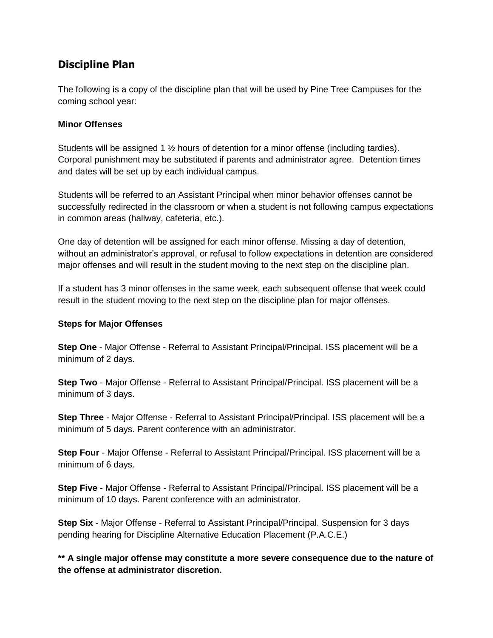# **Discipline Plan**

The following is a copy of the discipline plan that will be used by Pine Tree Campuses for the coming school year:

### **Minor Offenses**

Students will be assigned 1 ½ hours of detention for a minor offense (including tardies). Corporal punishment may be substituted if parents and administrator agree. Detention times and dates will be set up by each individual campus.

Students will be referred to an Assistant Principal when minor behavior offenses cannot be successfully redirected in the classroom or when a student is not following campus expectations in common areas (hallway, cafeteria, etc.).

One day of detention will be assigned for each minor offense. Missing a day of detention, without an administrator's approval, or refusal to follow expectations in detention are considered major offenses and will result in the student moving to the next step on the discipline plan.

If a student has 3 minor offenses in the same week, each subsequent offense that week could result in the student moving to the next step on the discipline plan for major offenses.

### **Steps for Major Offenses**

**Step One** - Major Offense - Referral to Assistant Principal/Principal. ISS placement will be a minimum of 2 days.

**Step Two** - Major Offense - Referral to Assistant Principal/Principal. ISS placement will be a minimum of 3 days.

**Step Three** - Major Offense - Referral to Assistant Principal/Principal. ISS placement will be a minimum of 5 days. Parent conference with an administrator.

**Step Four** - Major Offense - Referral to Assistant Principal/Principal. ISS placement will be a minimum of 6 days.

**Step Five** - Major Offense - Referral to Assistant Principal/Principal. ISS placement will be a minimum of 10 days. Parent conference with an administrator.

**Step Six** - Major Offense - Referral to Assistant Principal/Principal. Suspension for 3 days pending hearing for Discipline Alternative Education Placement (P.A.C.E.)

**\*\* A single major offense may constitute a more severe consequence due to the nature of the offense at administrator discretion.**